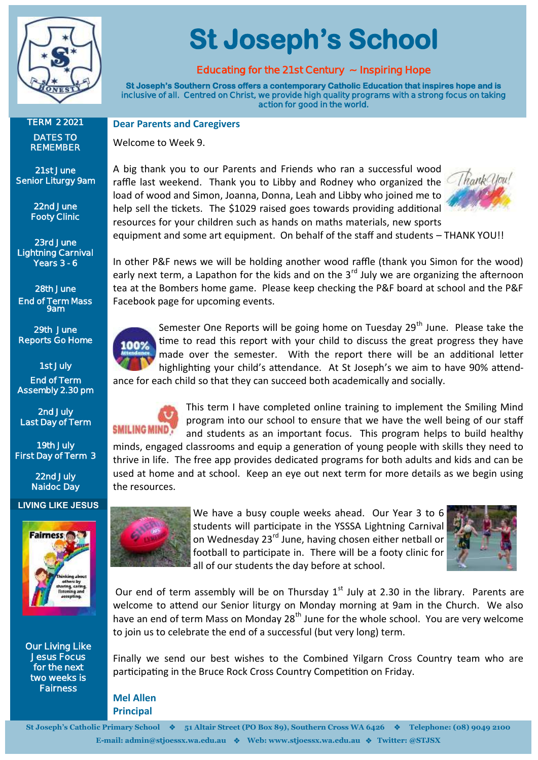

**St Joseph's School** 

#### **Educating for the 21st Century ~ Inspiring Hope**

**St Joseph's Southern Cross offers a contemporary Catholic Education that inspires hope and is inclusive of all. Centred on Christ, we provide high quality programs with a strong focus on taking action for good in the world.** 

**Dear Parents and Caregivers**

Welcome to Week 9.

A big thank you to our Parents and Friends who ran a successful wood raffle last weekend. Thank you to Libby and Rodney who organized the load of wood and Simon, Joanna, Donna, Leah and Libby who joined me to help sell the tickets. The \$1029 raised goes towards providing additional resources for your children such as hands on maths materials, new sports



equipment and some art equipment. On behalf of the staff and students – THANK YOU!!

In other P&F news we will be holding another wood raffle (thank you Simon for the wood) early next term, a Lapathon for the kids and on the  $3<sup>rd</sup>$  July we are organizing the afternoon tea at the Bombers home game. Please keep checking the P&F board at school and the P&F Facebook page for upcoming events.



Semester One Reports will be going home on Tuesday 29<sup>th</sup> June. Please take the time to read this report with your child to discuss the great progress they have made over the semester. With the report there will be an additional letter highlighting your child's attendance. At St Joseph's we aim to have 90% attendance for each child so that they can succeed both academically and socially.

## **SMILING MIND?**

This term I have completed online training to implement the Smiling Mind program into our school to ensure that we have the well being of our staff and students as an important focus. This program helps to build healthy

minds, engaged classrooms and equip a generation of young people with skills they need to thrive in life. The free app provides dedicated programs for both adults and kids and can be used at home and at school. Keep an eye out next term for more details as we begin using the resources.



We have a busy couple weeks ahead. Our Year 3 to 6 students will participate in the YSSSA Lightning Carnival on Wednesday 23<sup>rd</sup> June, having chosen either netball or football to participate in. There will be a footy clinic for all of our students the day before at school.



Our end of term assembly will be on Thursday  $1<sup>st</sup>$  July at 2.30 in the library. Parents are welcome to attend our Senior liturgy on Monday morning at 9am in the Church. We also have an end of term Mass on Monday  $28<sup>th</sup>$  June for the whole school. You are very welcome to join us to celebrate the end of a successful (but very long) term.

Finally we send our best wishes to the Combined Yilgarn Cross Country team who are participating in the Bruce Rock Cross Country Competition on Friday.

**Mel Allen Principal**

**TERM 2 2021 DATES TO REMEMBER**

**21st June Senior Liturgy 9am** 

> **22nd June Footy Clinic**

**23rd June Lightning Carnival Years 3 - 6** 

**28th June End of Term Mass 9am** 

**29th June Reports Go Home** 

**1st July End of Term Assembly 2.30 pm** 

**2nd July Last Day of Term** 

**19th July First Day of Term 3** 

> **22nd July Naidoc Day**

#### **LIVING LIKE JESUS**



**Our Living Like Jesus Focus for the next two weeks is Fairness**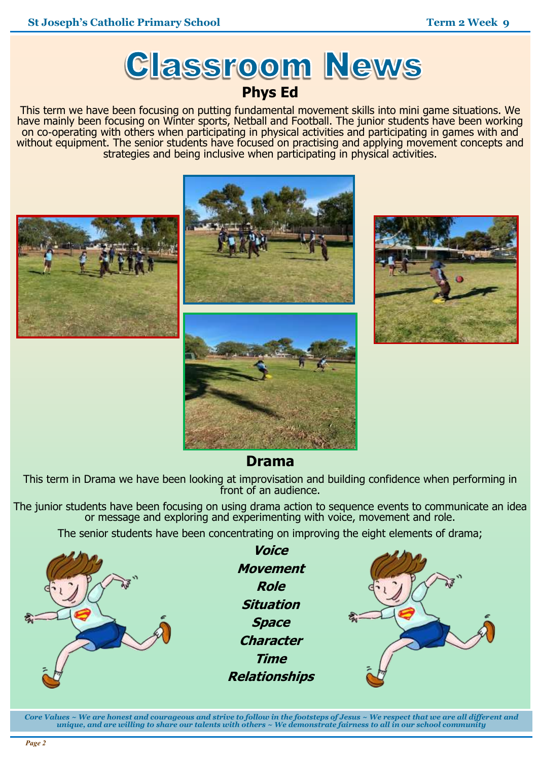## **Classroom News Phys Ed**

This term we have been focusing on putting fundamental movement skills into mini game situations. We have mainly been focusing on Winter sports, Netball and Football. The junior students have been working on co-operating with others when participating in physical activities and participating in games with and without equipment. The senior students have focused on practising and applying movement concepts and strategies and being inclusive when participating in physical activities.



### **Drama**

This term in Drama we have been looking at improvisation and building confidence when performing in front of an audience.

The junior students have been focusing on using drama action to sequence events to communicate an idea or message and exploring and experimenting with voice, movement and role.

The senior students have been concentrating on improving the eight elements of drama;



**Voice Movement Role Situation Space Character Time Relationships**



*Core Values ~ We are honest and courageous and strive to follow in the footsteps of Jesus ~ We respect that we are all different and unique, and are willing to share our talents with others ~ We demonstrate fairness to all in our school community*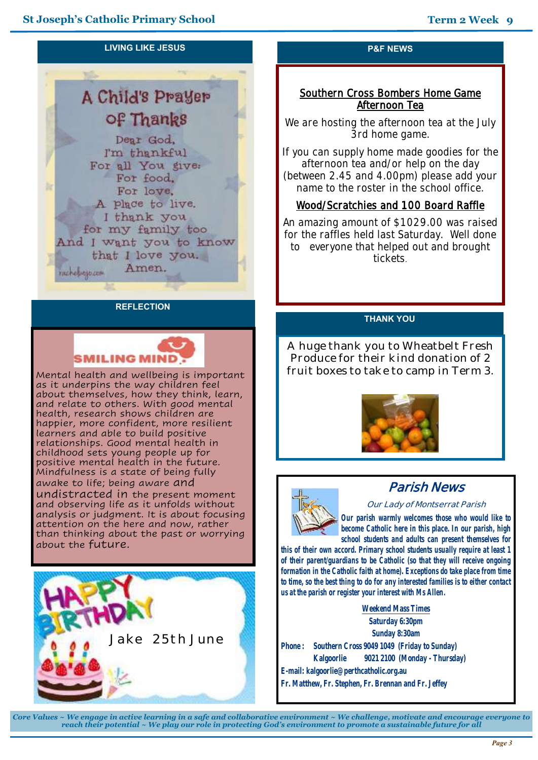#### **LIVING LIKE JESUS**

## **A Child's Prayer** of Thanks

Dear God. I'm thankful For all You give: For food. For love. A place to live. I thank you for my family too And I want you to know that I love you. Amen. *rachelysio.com* 

#### **REFLECTION**

# SMILING MIND

Mental health and wellbeing is important as it underpins the way children feel about themselves, how they think, learn, and relate to others. With good mental health, research shows children are happier, more confident, more resilient learners and able to build positive relationships. Good mental health in childhood sets young people up for positive mental health in the future. Mindfulness is a state of being fully awake to life; being aware and undistracted in the present moment and observing life as it unfolds without analysis or judgment. It is about focusing attention on the here and now, rather than thinking about the past or worrying about the future.



#### **P&F NEWS**

#### **Southern Cross Bombers Home Game Afternoon Tea**

**We are hosting the afternoon tea at the July 3rd home game.**

**If you can supply home made goodies for the afternoon tea and/or help on the day (between 2.45 and 4.00pm) please add your name to the roster in the school office.**

#### **Wood/Scratchies and 100 Board Raffle**

**An amazing amount of \$1029.00 was raised for the raffles held last Saturday. Well done to everyone that helped out and brought tickets**.

#### **THANK YOU**

A huge thank you to Wheatbelt Fresh Produce for their kind donation of 2 fruit boxes to take to camp in Term 3.





## **Parish News**

**Our Lady of Montserrat Parish**

*Our parish warmly welcomes those who would like to become Catholic here in this place. In our parish, high school students and adults can present themselves for* 

*this of their own accord. Primary school students usually require at least 1 of their parent/guardians to be Catholic (so that they will receive ongoing formation in the Catholic faith at home). Exceptions do take place from time to time, so the best thing to do for any interested families is to either contact us at the parish or register your interest with Ms Allen.*

**Weekend Mass Times Saturday 6:30pm Sunday 8:30am Phone : Southern Cross 9049 1049 (Friday to Sunday) Kalgoorlie 9021 2100 (Monday - Thursday) E-mail: kalgoorlie@perthcatholic.org.au Fr. Matthew, Fr. Stephen, Fr. Brennan and Fr. Jeffey**

*Core Values ~ We engage in active learning in a safe and collaborative environment ~ We challenge, motivate and encourage everyone to reach their potential ~ We play our role in protecting God's environment to promote a sustainable future for all*